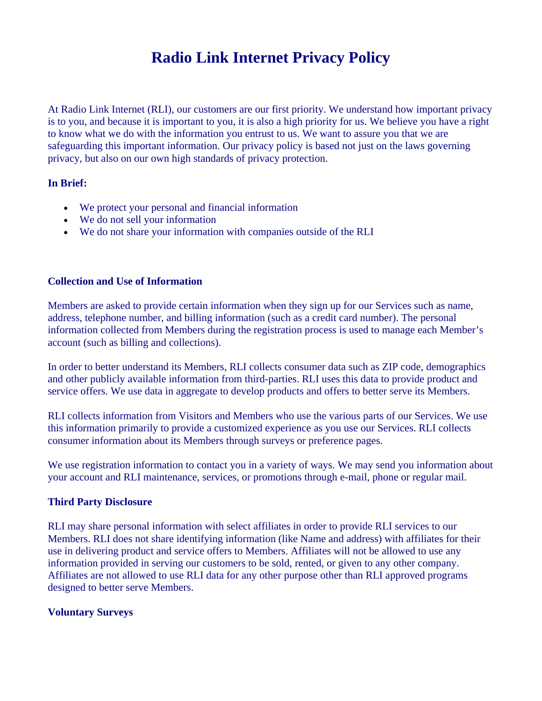# **Radio Link Internet Privacy Policy**

At Radio Link Internet (RLI), our customers are our first priority. We understand how important privacy is to you, and because it is important to you, it is also a high priority for us. We believe you have a right to know what we do with the information you entrust to us. We want to assure you that we are safeguarding this important information. Our privacy policy is based not just on the laws governing privacy, but also on our own high standards of privacy protection.

## **In Brief:**

- We protect your personal and financial information
- We do not sell your information
- We do not share your information with companies outside of the RLI

## **Collection and Use of Information**

Members are asked to provide certain information when they sign up for our Services such as name, address, telephone number, and billing information (such as a credit card number). The personal information collected from Members during the registration process is used to manage each Member's account (such as billing and collections).

In order to better understand its Members, RLI collects consumer data such as ZIP code, demographics and other publicly available information from third-parties. RLI uses this data to provide product and service offers. We use data in aggregate to develop products and offers to better serve its Members.

RLI collects information from Visitors and Members who use the various parts of our Services. We use this information primarily to provide a customized experience as you use our Services. RLI collects consumer information about its Members through surveys or preference pages.

We use registration information to contact you in a variety of ways. We may send you information about your account and RLI maintenance, services, or promotions through e-mail, phone or regular mail.

## **Third Party Disclosure**

RLI may share personal information with select affiliates in order to provide RLI services to our Members. RLI does not share identifying information (like Name and address) with affiliates for their use in delivering product and service offers to Members. Affiliates will not be allowed to use any information provided in serving our customers to be sold, rented, or given to any other company. Affiliates are not allowed to use RLI data for any other purpose other than RLI approved programs designed to better serve Members.

## **Voluntary Surveys**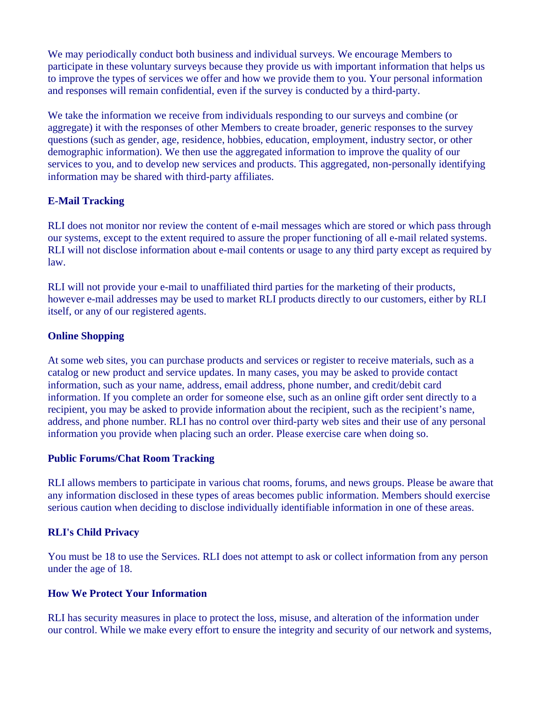We may periodically conduct both business and individual surveys. We encourage Members to participate in these voluntary surveys because they provide us with important information that helps us to improve the types of services we offer and how we provide them to you. Your personal information and responses will remain confidential, even if the survey is conducted by a third-party.

We take the information we receive from individuals responding to our surveys and combine (or aggregate) it with the responses of other Members to create broader, generic responses to the survey questions (such as gender, age, residence, hobbies, education, employment, industry sector, or other demographic information). We then use the aggregated information to improve the quality of our services to you, and to develop new services and products. This aggregated, non-personally identifying information may be shared with third-party affiliates.

## **E-Mail Tracking**

RLI does not monitor nor review the content of e-mail messages which are stored or which pass through our systems, except to the extent required to assure the proper functioning of all e-mail related systems. RLI will not disclose information about e-mail contents or usage to any third party except as required by law.

RLI will not provide your e-mail to unaffiliated third parties for the marketing of their products, however e-mail addresses may be used to market RLI products directly to our customers, either by RLI itself, or any of our registered agents.

## **Online Shopping**

At some web sites, you can purchase products and services or register to receive materials, such as a catalog or new product and service updates. In many cases, you may be asked to provide contact information, such as your name, address, email address, phone number, and credit/debit card information. If you complete an order for someone else, such as an online gift order sent directly to a recipient, you may be asked to provide information about the recipient, such as the recipient's name, address, and phone number. RLI has no control over third-party web sites and their use of any personal information you provide when placing such an order. Please exercise care when doing so.

## **Public Forums/Chat Room Tracking**

RLI allows members to participate in various chat rooms, forums, and news groups. Please be aware that any information disclosed in these types of areas becomes public information. Members should exercise serious caution when deciding to disclose individually identifiable information in one of these areas.

## **RLI's Child Privacy**

You must be 18 to use the Services. RLI does not attempt to ask or collect information from any person under the age of 18.

## **How We Protect Your Information**

RLI has security measures in place to protect the loss, misuse, and alteration of the information under our control. While we make every effort to ensure the integrity and security of our network and systems,